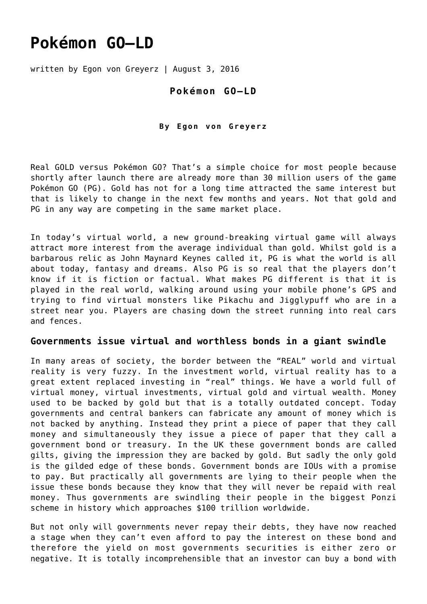# **[Pokémon GO–LD](https://goldswitzerland.com/pokemon-go-ld/)**

written by Egon von Greyerz | August 3, 2016

## **Pokémon GO–LD**

#### **By Egon von Greyerz**

Real GOLD versus Pokémon GO? That's a simple choice for most people because shortly after launch there are already more than 30 million users of the game Pokémon GO (PG). Gold has not for a long time attracted the same interest but that is likely to change in the next few months and years. Not that gold and PG in any way are competing in the same market place.

In today's virtual world, a new ground-breaking virtual game will always attract more interest from the average individual than gold. Whilst gold is a barbarous relic as John Maynard Keynes called it, PG is what the world is all about today, fantasy and dreams. Also PG is so real that the players don't know if it is fiction or factual. What makes PG different is that it is played in the real world, walking around using your mobile phone's GPS and trying to find virtual monsters like Pikachu and Jigglypuff who are in a street near you. Players are chasing down the street running into real cars and fences.

#### **Governments issue virtual and worthless bonds in a giant swindle**

In many areas of society, the border between the "REAL" world and virtual reality is very fuzzy. In the investment world, virtual reality has to a great extent replaced investing in "real" things. We have a world full of virtual money, virtual investments, virtual gold and virtual wealth. Money used to be backed by gold but that is a totally outdated concept. Today governments and central bankers can fabricate any amount of money which is not backed by anything. Instead they print a piece of paper that they call money and simultaneously they issue a piece of paper that they call a government bond or treasury. In the UK these government bonds are called gilts, giving the impression they are backed by gold. But sadly the only gold is the gilded edge of these bonds. Government bonds are IOUs with a promise to pay. But practically all governments are lying to their people when the issue these bonds because they know that they will never be repaid with real money. Thus governments are swindling their people in the biggest Ponzi scheme in history which approaches \$100 trillion worldwide.

But not only will governments never repay their debts, they have now reached a stage when they can't even afford to pay the interest on these bond and therefore the yield on most governments securities is either zero or negative. It is totally incomprehensible that an investor can buy a bond with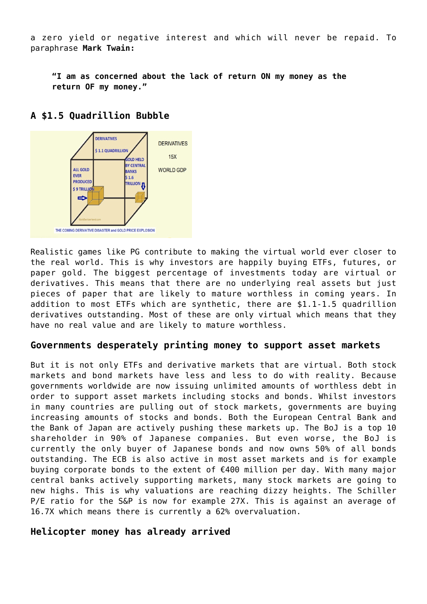a zero yield or negative interest and which will never be repaid. To paraphrase **Mark Twain:**

**"I am as concerned about the lack of return ON my money as the return OF my money."**



# **A \$1.5 Quadrillion Bubble**

Realistic games like PG contribute to making the virtual world ever closer to the real world. This is why investors are happily buying ETFs, futures, or paper gold. The biggest percentage of investments today are virtual or derivatives. This means that there are no underlying real assets but just pieces of paper that are likely to mature worthless in coming years. In addition to most ETFs which are synthetic, there are \$1.1-1.5 quadrillion derivatives outstanding. Most of these are only virtual which means that they have no real value and are likely to mature worthless.

## **Governments desperately printing money to support asset markets**

But it is not only ETFs and derivative markets that are virtual. Both stock markets and bond markets have less and less to do with reality. Because governments worldwide are now issuing unlimited amounts of worthless debt in order to support asset markets including stocks and bonds. Whilst investors in many countries are pulling out of stock markets, governments are buying increasing amounts of stocks and bonds. Both the European Central Bank and the Bank of Japan are actively pushing these markets up. The BoJ is a top 10 shareholder in 90% of Japanese companies. But even worse, the BoJ is currently the only buyer of Japanese bonds and now owns 50% of all bonds outstanding. The ECB is also active in most asset markets and is for example buying corporate bonds to the extent of €400 million per day. With many major central banks actively supporting markets, many stock markets are going to new highs. This is why valuations are reaching dizzy heights. The Schiller P/E ratio for the S&P is now for example 27X. This is against an average of 16.7X which means there is currently a 62% overvaluation.

## **Helicopter money has already arrived**